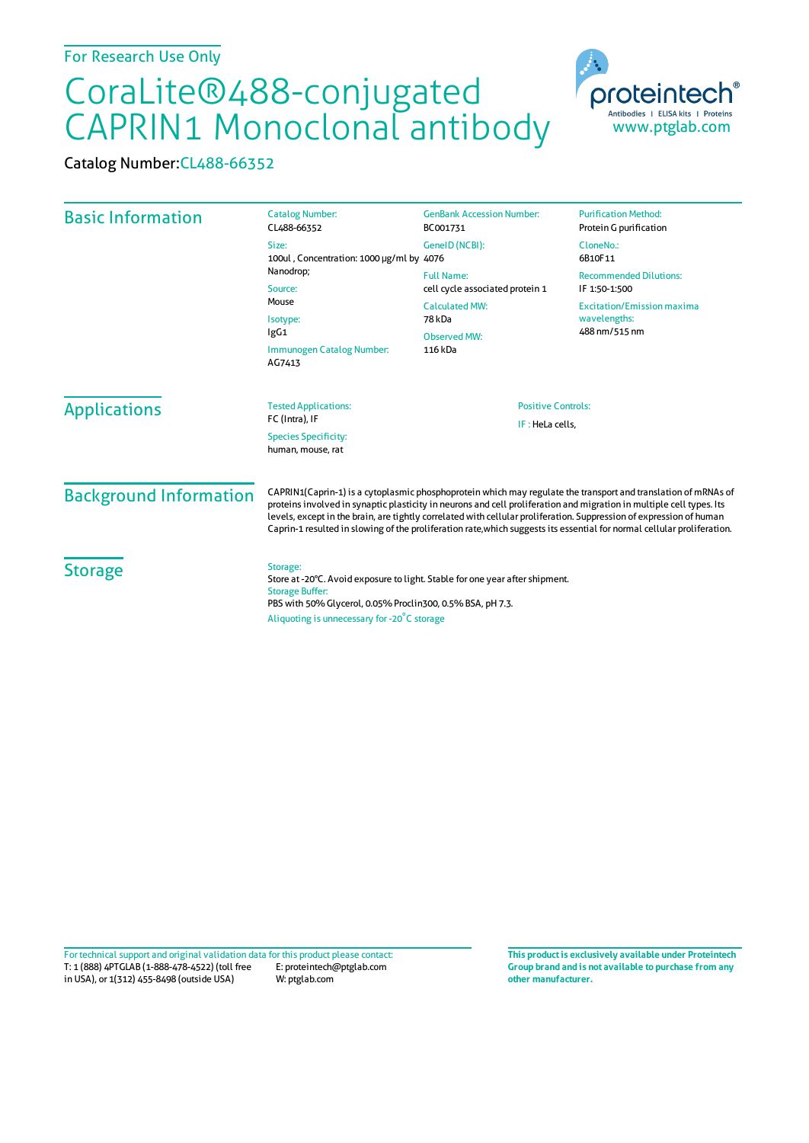## CoraLite®488-conjugated CAPRIN1 Monoclonal antibody

Catalog Number:CL488-66352

| <b>Basic Information</b>      | <b>Catalog Number:</b><br>CL488-66352                                                                                                                                                                                                                                                                                                                                                                                                                                                    | <b>GenBank Accession Number:</b><br>BC001731                                                                       | <b>Purification Method:</b><br>Protein G purification                                                                |
|-------------------------------|------------------------------------------------------------------------------------------------------------------------------------------------------------------------------------------------------------------------------------------------------------------------------------------------------------------------------------------------------------------------------------------------------------------------------------------------------------------------------------------|--------------------------------------------------------------------------------------------------------------------|----------------------------------------------------------------------------------------------------------------------|
|                               | Size:<br>100ul, Concentration: 1000 µg/ml by 4076<br>Nanodrop;<br>Source:<br>Mouse<br>Isotype:<br>lgG1<br>Immunogen Catalog Number:<br>AG7413                                                                                                                                                                                                                                                                                                                                            | GenelD (NCBI):                                                                                                     | CloneNo.:<br>6B10F11                                                                                                 |
|                               |                                                                                                                                                                                                                                                                                                                                                                                                                                                                                          | <b>Full Name:</b><br>cell cycle associated protein 1<br><b>Calculated MW:</b><br>78 kDa<br>Observed MW:<br>116 kDa | <b>Recommended Dilutions:</b><br>IF 1:50-1:500<br><b>Excitation/Emission maxima</b><br>wavelengths:<br>488 nm/515 nm |
|                               |                                                                                                                                                                                                                                                                                                                                                                                                                                                                                          |                                                                                                                    |                                                                                                                      |
| <b>Background Information</b> | CAPRIN1(Caprin-1) is a cytoplasmic phosphoprotein which may regulate the transport and translation of mRNAs of<br>proteins involved in synaptic plasticity in neurons and cell proliferation and migration in multiple cell types. Its<br>levels, except in the brain, are tightly correlated with cellular proliferation. Suppression of expression of human<br>Caprin-1 resulted in slowing of the proliferation rate, which suggests its essential for normal cellular proliferation. |                                                                                                                    |                                                                                                                      |
| <b>Storage</b>                | Storage:<br>Store at -20°C. Avoid exposure to light. Stable for one year after shipment.<br><b>Storage Buffer:</b><br>PBS with 50% Glycerol, 0.05% Proclin300, 0.5% BSA, pH 7.3.<br>Aliquoting is unnecessary for -20°C storage                                                                                                                                                                                                                                                          |                                                                                                                    |                                                                                                                      |

T: 1 (888) 4PTGLAB (1-888-478-4522) (toll free in USA), or 1(312) 455-8498 (outside USA) E: proteintech@ptglab.com W: ptglab.com Fortechnical support and original validation data forthis product please contact: **This productis exclusively available under Proteintech**

**Group brand and is not available to purchase from any other manufacturer.**